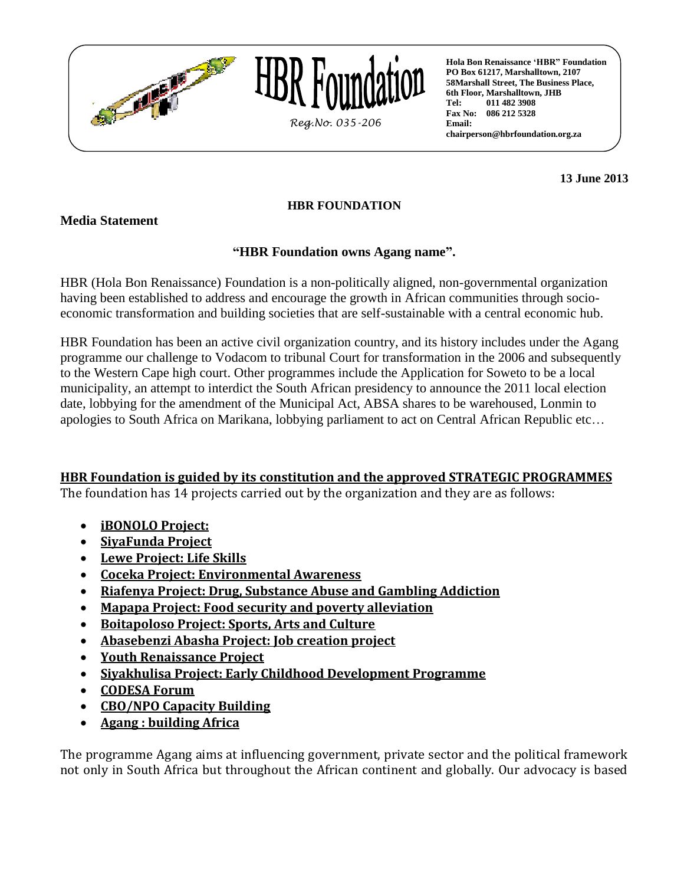



**Hola Bon Renaissance "HBR" Foundation PO Box 61217, Marshalltown, 2107 58Marshall Street, The Business Place, 6th Floor, Marshalltown, JHB Tel: 011 482 3908 Fax No: 086 212 5328 Email: chairperson@hbrfoundation.org.za**

**13 June 2013**

## **HBR FOUNDATION**

**Media Statement**

## **"HBR Foundation owns Agang name".**

HBR (Hola Bon Renaissance) Foundation is a non-politically aligned, non-governmental organization having been established to address and encourage the growth in African communities through socioeconomic transformation and building societies that are self-sustainable with a central economic hub.

HBR Foundation has been an active civil organization country, and its history includes under the Agang programme our challenge to Vodacom to tribunal Court for transformation in the 2006 and subsequently to the Western Cape high court. Other programmes include the Application for Soweto to be a local municipality, an attempt to interdict the South African presidency to announce the 2011 local election date, lobbying for the amendment of the Municipal Act, ABSA shares to be warehoused, Lonmin to apologies to South Africa on Marikana, lobbying parliament to act on Central African Republic etc…

## **HBR Foundation is guided by its constitution and the approved STRATEGIC PROGRAMMES**

The foundation has 14 projects carried out by the organization and they are as follows:

- **iBONOLO Project:**
- **SiyaFunda Project**
- **Lewe Project: Life Skills**
- **Coceka Project: Environmental Awareness**
- **Riafenya Project: Drug, Substance Abuse and Gambling Addiction**
- **Mapapa Project: Food security and poverty alleviation**
- **Boitapoloso Project: Sports, Arts and Culture**
- **Abasebenzi Abasha Project: Job creation project**
- **Youth Renaissance Project**
- **Siyakhulisa Project: Early Childhood Development Programme**
- **CODESA Forum**
- **CBO/NPO Capacity Building**
- **Agang : building Africa**

The programme Agang aims at influencing government, private sector and the political framework not only in South Africa but throughout the African continent and globally. Our advocacy is based